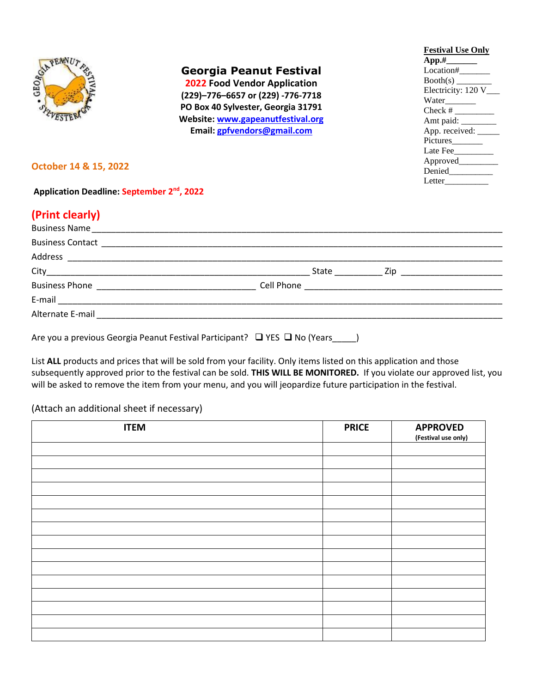

### **Georgia Peanut Festival**

**2022 Food Vendor Application (229)–776–6657 or (229) -776-7718 PO Box 40 Sylvester, Georgia 31791 Website: [www.gapeanutfestival.org](http://www.gapeanutfestival.org/) Email: [gpfvendors@gmail.com](mailto:gpfvendors@gmail.com)**

#### **October 14 & 15, 2022**

**Application Deadline: September 2 nd, 2022**

## **(Print clearly)**

| <b>IFTHIL CIEATIVI</b> |                                                                                                                                                                                                                                      |  |
|------------------------|--------------------------------------------------------------------------------------------------------------------------------------------------------------------------------------------------------------------------------------|--|
|                        |                                                                                                                                                                                                                                      |  |
|                        | Business Contact <u>Product Communications and the set of the set of the set of the set of the set of the set of the set of the set of the set of the set of the set of the set of the set of the set of the set of the set of t</u> |  |
|                        |                                                                                                                                                                                                                                      |  |
|                        |                                                                                                                                                                                                                                      |  |
|                        |                                                                                                                                                                                                                                      |  |
|                        |                                                                                                                                                                                                                                      |  |
|                        |                                                                                                                                                                                                                                      |  |
|                        |                                                                                                                                                                                                                                      |  |
|                        | Are you a previous Georgia Peanut Festival Participant? $\Box$ YES $\Box$ No (Years )                                                                                                                                                |  |

List **ALL** products and prices that will be sold from your facility. Only items listed on this application and those subsequently approved prior to the festival can be sold. **THIS WILL BE MONITORED.** If you violate our approved list, you will be asked to remove the item from your menu, and you will jeopardize future participation in the festival.

(Attach an additional sheet if necessary)

| <b>ITEM</b> | <b>PRICE</b> | <b>APPROVED</b><br>(Festival use only) |
|-------------|--------------|----------------------------------------|
|             |              |                                        |
|             |              |                                        |
|             |              |                                        |
|             |              |                                        |
|             |              |                                        |
|             |              |                                        |
|             |              |                                        |
|             |              |                                        |
|             |              |                                        |
|             |              |                                        |
|             |              |                                        |
|             |              |                                        |
|             |              |                                        |
|             |              |                                        |

**Festival Use Only App.#\_\_\_\_\_\_\_** Location# Booth(s) \_\_\_\_\_\_\_\_ Electricity: 120 V\_ Water\_\_\_\_\_\_ Check # \_\_\_\_\_\_\_\_\_ Amt paid: \_\_\_\_\_\_\_\_ App. received: \_\_\_\_\_\_\_ Pictures\_\_\_\_\_\_\_ Late Fee Approved\_\_\_\_\_\_ Denied\_\_\_\_\_\_\_\_\_\_ Letter\_\_\_\_\_\_\_\_\_\_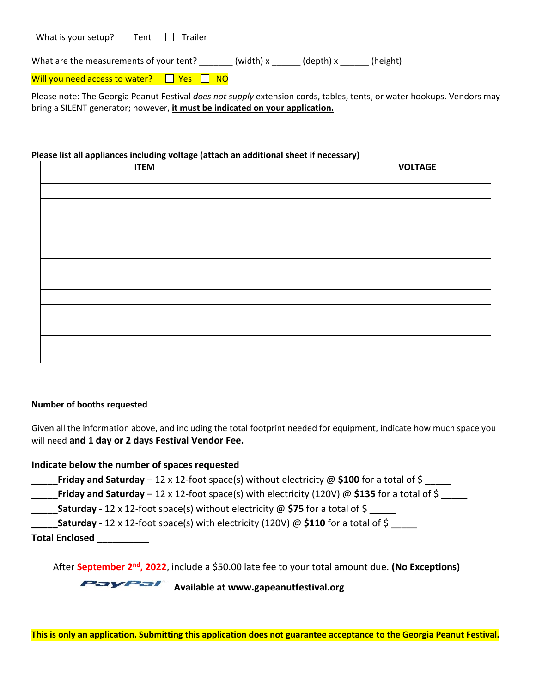| What is your setup? $\Box$ Tent |  | $\Box$ Trailer |
|---------------------------------|--|----------------|
|---------------------------------|--|----------------|

What are the measurements of your tent?  $\qquad (width) x \qquad (depth) x \qquad (height)$ 

Will you need access to water?  $\Box$  Yes  $\Box$  NO

Please note: The Georgia Peanut Festival *does not supply* extension cords, tables, tents, or water hookups. Vendors may bring a SILENT generator; however, **it must be indicated on your application.**

#### **Please list all appliances including voltage (attach an additional sheet if necessary)**

| <b>ITEM</b> | <b>VOLTAGE</b> |
|-------------|----------------|
|             |                |
|             |                |
|             |                |
|             |                |
|             |                |
|             |                |
|             |                |
|             |                |
|             |                |
|             |                |
|             |                |
|             |                |

#### **Number of booths requested**

Given all the information above, and including the total footprint needed for equipment, indicate how much space you will need **and 1 day or 2 days Festival Vendor Fee.**

#### **Indicate below the number of spaces requested**

- **\_\_\_\_\_Friday and Saturday** 12 x 12-foot space(s) without electricity @ **\$100** for a total of \$ \_\_\_\_\_
- **\_\_\_\_\_Friday and Saturday**  12 x 12-foot space(s) with electricity (120V) @ **\$135** for a total of \$ \_\_\_\_\_
- **Saturday -** 12 x 12-foot space(s) without electricity @ \$75 for a total of \$
- **Saturday** 12 x 12-foot space(s) with electricity (120V) @ \$110 for a total of \$
- **Total Enclosed \_\_\_\_\_\_\_\_\_\_**

After September 2<sup>nd</sup>, 2022, include a \$50.00 late fee to your total amount due. (No Exceptions)

**PayPal** Available at www.gapeanutfestival.org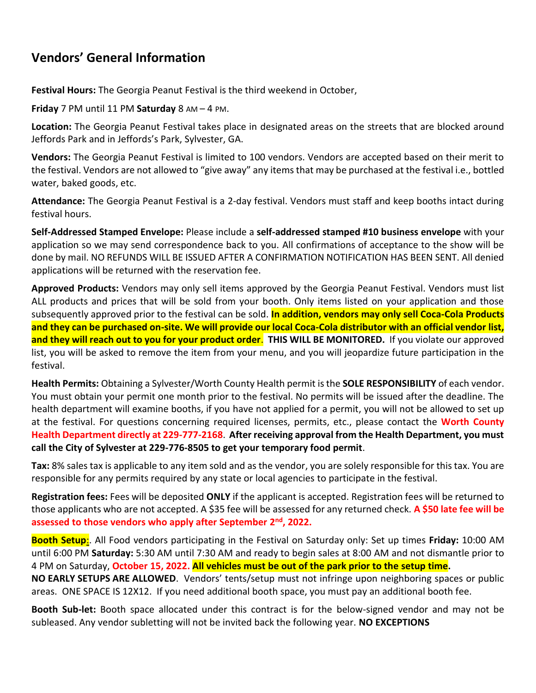## **Vendors' General Information**

**Festival Hours:** The Georgia Peanut Festival is the third weekend in October,

**Friday** 7 PM until 11 PM **Saturday** 8 AM – 4 PM.

**Location:** The Georgia Peanut Festival takes place in designated areas on the streets that are blocked around Jeffords Park and in Jeffords's Park, Sylvester, GA.

**Vendors:** The Georgia Peanut Festival is limited to 100 vendors. Vendors are accepted based on their merit to the festival. Vendors are not allowed to "give away" any items that may be purchased at the festival i.e., bottled water, baked goods, etc.

**Attendance:** The Georgia Peanut Festival is a 2-day festival. Vendors must staff and keep booths intact during festival hours.

**Self-Addressed Stamped Envelope:** Please include a **self-addressed stamped #10 business envelope** with your application so we may send correspondence back to you. All confirmations of acceptance to the show will be done by mail. NO REFUNDS WILL BE ISSUED AFTER A CONFIRMATION NOTIFICATION HAS BEEN SENT. All denied applications will be returned with the reservation fee.

**Approved Products:** Vendors may only sell items approved by the Georgia Peanut Festival. Vendors must list ALL products and prices that will be sold from your booth. Only items listed on your application and those subsequently approved prior to the festival can be sold. **In addition, vendors may only sell Coca-Cola Products and they can be purchased on-site. We will provide our local Coca-Cola distributor with an official vendor list, and they will reach out to you for your product order**. **THIS WILL BE MONITORED.** If you violate our approved list, you will be asked to remove the item from your menu, and you will jeopardize future participation in the festival.

**Health Permits:** Obtaining a Sylvester/Worth County Health permit is the **SOLE RESPONSIBILITY** of each vendor. You must obtain your permit one month prior to the festival. No permits will be issued after the deadline. The health department will examine booths, if you have not applied for a permit, you will not be allowed to set up at the festival. For questions concerning required licenses, permits, etc., please contact the **Worth County Health Department directly at 229-777-2168**. **After receiving approval from the Health Department, you must call the City of Sylvester at 229-776-8505 to get your temporary food permit**.

**Tax:** 8% sales tax is applicable to any item sold and as the vendor, you are solely responsible for this tax. You are responsible for any permits required by any state or local agencies to participate in the festival.

**Registration fees:** Fees will be deposited **ONLY** if the applicant is accepted. Registration fees will be returned to those applicants who are not accepted. A \$35 fee will be assessed for any returned check. **A \$50 late fee will be**  assessed to those vendors who apply after September 2<sup>nd</sup>, 2022.

**Booth Setup**:. All Food vendors participating in the Festival on Saturday only: Set up times **Friday:** 10:00 AM until 6:00 PM **Saturday:** 5:30 AM until 7:30 AM and ready to begin sales at 8:00 AM and not dismantle prior to 4 PM on Saturday, **October 15, 2022. All vehicles must be out of the park prior to the setup time.** 

**NO EARLY SETUPS ARE ALLOWED**. Vendors' tents/setup must not infringe upon neighboring spaces or public areas. ONE SPACE IS 12X12. If you need additional booth space, you must pay an additional booth fee.

**Booth Sub-let:** Booth space allocated under this contract is for the below-signed vendor and may not be subleased. Any vendor subletting will not be invited back the following year. **NO EXCEPTIONS**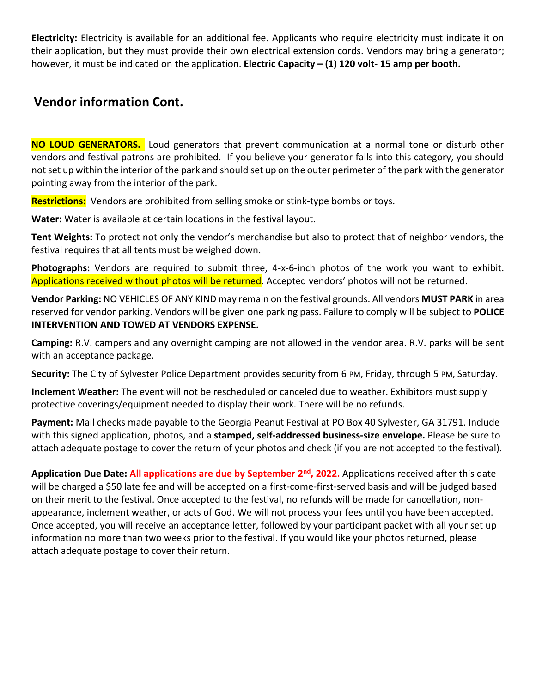**Electricity:** Electricity is available for an additional fee. Applicants who require electricity must indicate it on their application, but they must provide their own electrical extension cords. Vendors may bring a generator; however, it must be indicated on the application. **Electric Capacity – (1) 120 volt- 15 amp per booth.**

## **Vendor information Cont.**

**NO LOUD GENERATORS.** Loud generators that prevent communication at a normal tone or disturb other vendors and festival patrons are prohibited. If you believe your generator falls into this category, you should not set up within the interior of the park and should set up on the outer perimeter of the park with the generator pointing away from the interior of the park.

**Restrictions:** Vendors are prohibited from selling smoke or stink-type bombs or toys.

**Water:** Water is available at certain locations in the festival layout.

**Tent Weights:** To protect not only the vendor's merchandise but also to protect that of neighbor vendors, the festival requires that all tents must be weighed down.

**Photographs:** Vendors are required to submit three, 4-x-6-inch photos of the work you want to exhibit. Applications received without photos will be returned. Accepted vendors' photos will not be returned.

**Vendor Parking:** NO VEHICLES OF ANY KIND may remain on the festival grounds. All vendors **MUST PARK** in area reserved for vendor parking. Vendors will be given one parking pass. Failure to comply will be subject to **POLICE INTERVENTION AND TOWED AT VENDORS EXPENSE.**

**Camping:** R.V. campers and any overnight camping are not allowed in the vendor area. R.V. parks will be sent with an acceptance package.

**Security:** The City of Sylvester Police Department provides security from 6 PM, Friday, through 5 PM, Saturday.

**Inclement Weather:** The event will not be rescheduled or canceled due to weather. Exhibitors must supply protective coverings/equipment needed to display their work. There will be no refunds.

**Payment:** Mail checks made payable to the Georgia Peanut Festival at PO Box 40 Sylvester, GA 31791. Include with this signed application, photos, and a **stamped, self-addressed business-size envelope.** Please be sure to attach adequate postage to cover the return of your photos and check (if you are not accepted to the festival).

**Application Due Date: All applications are due by September 2<sup>nd</sup>, 2022.** Applications received after this date will be charged a \$50 late fee and will be accepted on a first-come-first-served basis and will be judged based on their merit to the festival. Once accepted to the festival, no refunds will be made for cancellation, nonappearance, inclement weather, or acts of God. We will not process your fees until you have been accepted. Once accepted, you will receive an acceptance letter, followed by your participant packet with all your set up information no more than two weeks prior to the festival. If you would like your photos returned, please attach adequate postage to cover their return.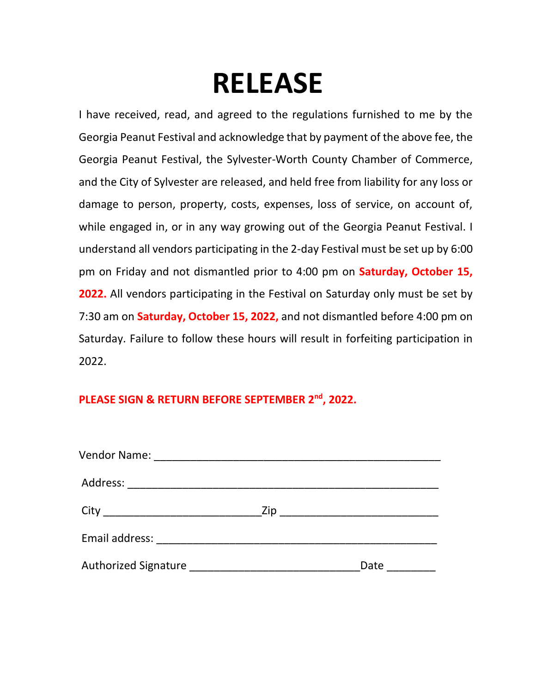# **RELEASE**

I have received, read, and agreed to the regulations furnished to me by the Georgia Peanut Festival and acknowledge that by payment of the above fee, the Georgia Peanut Festival, the Sylvester-Worth County Chamber of Commerce, and the City of Sylvester are released, and held free from liability for any loss or damage to person, property, costs, expenses, loss of service, on account of, while engaged in, or in any way growing out of the Georgia Peanut Festival. I understand all vendors participating in the 2-day Festival must be set up by 6:00 pm on Friday and not dismantled prior to 4:00 pm on **Saturday, October 15, 2022.** All vendors participating in the Festival on Saturday only must be set by 7:30 am on **Saturday, October 15, 2022,** and not dismantled before 4:00 pm on Saturday. Failure to follow these hours will result in forfeiting participation in 2022.

## **PLEASE SIGN & RETURN BEFORE SEPTEMBER 2 nd, 2022.**

|  | Date |
|--|------|